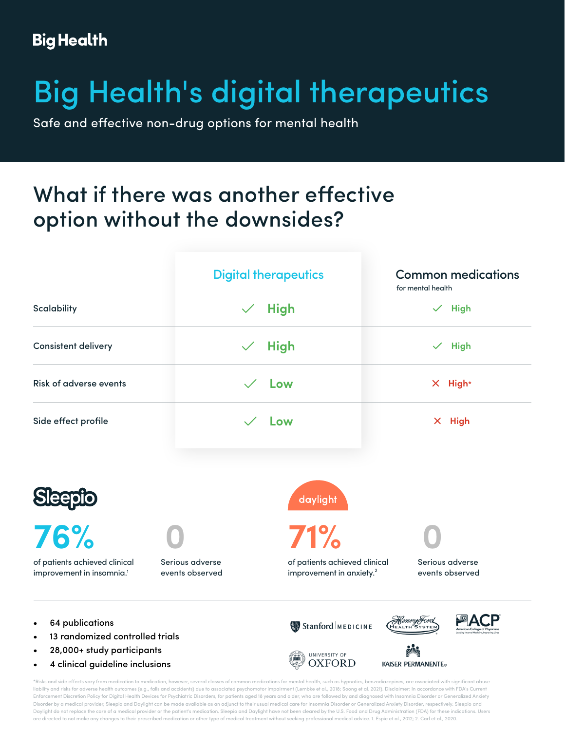#### **Big Health**

# Big Health's digital therapeutics

Safe and effective non-drug options for mental health

## What if there was another effective option without the downsides?



- 28,000+ study participants
- 4 clinical guideline inclusions

UNIVERSITY OF **OXFORD**  **KAISER PERMANENTE®** 

\*Risks and side effects vary from medication to medication, however, several classes of common medications for mental health, such as hypnotics, benzodiazepines, are associated with significant abuse liability and risks for adverse health outcomes (e.g., falls and accidents) due to associated psychomotor impairment (Lembke et al., 2018; Soong et al. 2021). Disclaimer: In accordance with FDA's Current Enforcement Discretion Policy for Digital Health Devices for Psychiatric Disorders, for patients aged 18 years and older, who are followed by and diagnosed with Insomnia Disorder or Generalized Anxiety Disorder by a medical provider, Sleepio and Daylight can be made available as an adjunct to their usual medical care for Insomnia Disorder or Generalized Anxiety Disorder, respectively. Sleepio and Daylight do not replace the care of a medical provider or the patient's medication. Sleepio and Daylight have not been cleared by the U.S. Food and Drug Administration (FDA) for these indications. Users are directed to not make any changes to their prescribed medication or other type of medical treatment without seeking professional medical advice. 1. Espie et al., 2012; 2. Carl et al., 2020.